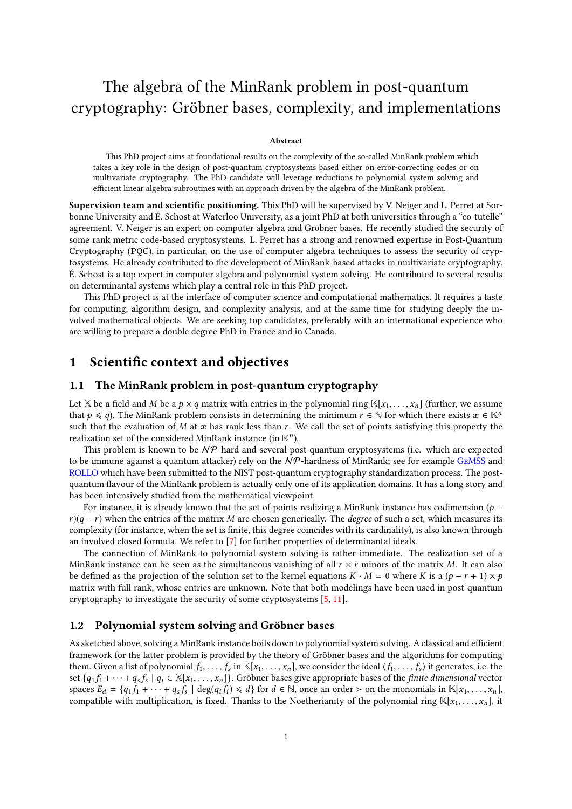# The algebra of the MinRank problem in post-quantum cryptography: Gröbner bases, complexity, and implementations

#### Abstract

This PhD project aims at foundational results on the complexity of the so-called MinRank problem which takes a key role in the design of post-quantum cryptosystems based either on error-correcting codes or on multivariate cryptography. The PhD candidate will leverage reductions to polynomial system solving and efficient linear algebra subroutines with an approach driven by the algebra of the MinRank problem.

Supervision team and scientific positioning. This PhD will be supervised by V. Neiger and L. Perret at Sorbonne University and É. Schost at Waterloo University, as a joint PhD at both universities through a "co-tutelle" agreement. V. Neiger is an expert on computer algebra and Gröbner bases. He recently studied the security of some rank metric code-based cryptosystems. L. Perret has a strong and renowned expertise in Post-Quantum Cryptography (PQC), in particular, on the use of computer algebra techniques to assess the security of cryptosystems. He already contributed to the development of MinRank-based attacks in multivariate cryptography. É. Schost is a top expert in computer algebra and polynomial system solving. He contributed to several results on determinantal systems which play a central role in this PhD project.

This PhD project is at the interface of computer science and computational mathematics. It requires a taste for computing, algorithm design, and complexity analysis, and at the same time for studying deeply the involved mathematical objects. We are seeking top candidates, preferably with an international experience who are willing to prepare a double degree PhD in France and in Canada.

## 1 Scientific context and objectives

### 1.1 The MinRank problem in post-quantum cryptography

Let K be a field and M be a  $p \times q$  matrix with entries in the polynomial ring  $\mathbb{K}[x_1, \ldots, x_n]$  (further, we assume that  $p \le q$ ). The MinRank problem consists in determining the minimum  $r \in \mathbb{N}$  for which there exists  $x \in \mathbb{K}^n$ such that the evaluation of M at x has rank less than r. We call the set of points satisfying this property the realization set of the considered MinRank instance (in  $K<sup>n</sup>$ ).

This problem is known to be  $N \mathcal{P}$ -hard and several post-quantum cryptosystems (i.e. which are expected to be immune against a quantum attacker) rely on the  $N$ P-hardness of MinRank; see for example GEMSS and [ROLLO](https://pqc-rollo.org/) which have been submitted to the NIST post-quantum cryptography standardization process. The postquantum flavour of the MinRank problem is actually only one of its application domains. It has a long story and has been intensively studied from the mathematical viewpoint.

For instance, it is already known that the set of points realizing a MinRank instance has codimension ( $p$  $r$ )(q − r) when the entries of the matrix M are chosen generically. The degree of such a set, which measures its complexity (for instance, when the set is finite, this degree coincides with its cardinality), is also known through an involved closed formula. We refer to [\[7\]](#page-2-0) for further properties of determinantal ideals.

The connection of MinRank to polynomial system solving is rather immediate. The realization set of a MinRank instance can be seen as the simultaneous vanishing of all  $r \times r$  minors of the matrix M. It can also be defined as the projection of the solution set to the kernel equations  $K \cdot M = 0$  where K is a  $(p - r + 1) \times p$ matrix with full rank, whose entries are unknown. Note that both modelings have been used in post-quantum cryptography to investigate the security of some cryptosystems [\[5,](#page-2-1) [11\]](#page-2-2).

### 1.2 Polynomial system solving and Gröbner bases

As sketched above, solving a MinRank instance boils down to polynomial system solving. A classical and efficient framework for the latter problem is provided by the theory of Gröbner bases and the algorithms for computing them. Given a list of polynomial  $f_1, \ldots, f_s$  in  $\mathbb{K}[x_1, \ldots, x_n]$ , we consider the ideal  $\langle f_1, \ldots, f_s \rangle$  it generates, i.e. the set  $\{a, f_{1}, \ldots, f_{s}\}\$  it generates, i.e. the set  $\{a, f_{1}, \ldots, f_{s}\}\$ set  $\{q_1 f_1 + \cdots + q_s f_s \mid q_i \in \mathbb{K}[x_1, \ldots, x_n]\}$ . Gröbner bases give appropriate bases of the *finite dimensional* vector spaces  $F_i = f g_i f_i + \cdots + g_i f_j \mid \text{deg}(g_i f_i) \leq d\}$  for  $d \in \mathbb{N}$  once an order  $\geq$  on the monomials in spaces  $E_d = \{q_1 f_1 + \cdots + q_s f_s \mid \deg(q_i f_i) \leq d\}$  for  $d \in \mathbb{N}$ , once an order > on the monomials in K[x<sub>1</sub>, ..., x<sub>n</sub>],<br>compatible with multiplication is fixed. Thanks to the Noetherianity of the polynomial ring K[x, x ] it compatible with multiplication, is fixed. Thanks to the Noetherianity of the polynomial ring  $\mathbb{K}[x_1, \ldots, x_n]$ , it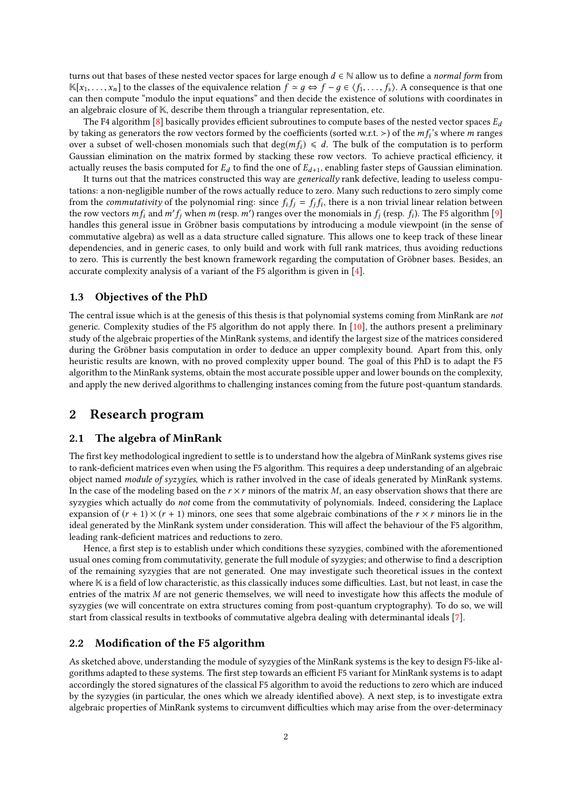turns out that bases of these nested vector spaces for large enough  $d \in \mathbb{N}$  allow us to define a normal form from  $\mathbb{K}[x_1, \ldots, x_n]$  to the classes of the equivalence relation  $f \approx q \Leftrightarrow f - q \in \langle f_1, \ldots, f_s \rangle$ . A consequence is that one can then compute "modulo the input equations" and then decide the existence of solutions with coordinates in an algebraic closure of K, describe them through a triangular representation, etc.

The F4 algorithm [\[8\]](#page-2-3) basically provides efficient subroutines to compute bases of the nested vector spaces  $E_d$ by taking as generators the row vectors formed by the coefficients (sorted w.r.t. >) of the  $m f_i$ 's where m ranges<br>over a subset of well-chosen monomials such that  $\deg(m f_i) \leq d$ . The bulk of the computation is to perform over a subset of well-chosen monomials such that deg( $mf_i$ )  $\le d$ . The bulk of the computation is to perform Gaussian elimination on the matrix formed by stacking these row vectors. To achieve practical efficiency, it actually reuses the basis computed for  $E_d$  to find the one of  $E_{d+1}$ , enabling faster steps of Gaussian elimination.

It turns out that the matrices constructed this way are generically rank defective, leading to useless computations: a non-negligible number of the rows actually reduce to zero. Many such reductions to zero simply come from the *commutativity* of the polynomial ring: since  $f_i f_j = f_j f_i$ , there is a non trivial linear relation between<br>the row vectors  $m f$ , and  $m' f$ , when  $m$  (resp.  $m'$ ) ranges over the monomials in  $f_i$  (resp.  $f_i$ ). The the row vectors  $m f_i$  and  $m' f_j$  when m (resp.  $m'$ ) ranges over the monomials in  $f_j$  (resp.  $f_i$ ). The F5 algorithm [\[9\]](#page-2-4)<br>handles this general issue in Gröbner basis computations by introducing a module viewpoint (in the handles this general issue in Gröbner basis computations by introducing a module viewpoint (in the sense of commutative algebra) as well as a data structure called signature. This allows one to keep track of these linear dependencies, and in generic cases, to only build and work with full rank matrices, thus avoiding reductions to zero. This is currently the best known framework regarding the computation of Gröbner bases. Besides, an accurate complexity analysis of a variant of the F5 algorithm is given in [\[4\]](#page-2-5).

### 1.3 Objectives of the PhD

The central issue which is at the genesis of this thesis is that polynomial systems coming from MinRank are not generic. Complexity studies of the F5 algorithm do not apply there. In [\[10\]](#page-2-6), the authors present a preliminary study of the algebraic properties of the MinRank systems, and identify the largest size of the matrices considered during the Gröbner basis computation in order to deduce an upper complexity bound. Apart from this, only heuristic results are known, with no proved complexity upper bound. The goal of this PhD is to adapt the F5 algorithm to the MinRank systems, obtain the most accurate possible upper and lower bounds on the complexity, and apply the new derived algorithms to challenging instances coming from the future post-quantum standards.

### 2 Research program

#### 2.1 The algebra of MinRank

The first key methodological ingredient to settle is to understand how the algebra of MinRank systems gives rise to rank-deficient matrices even when using the F5 algorithm. This requires a deep understanding of an algebraic object named module of syzygies, which is rather involved in the case of ideals generated by MinRank systems. In the case of the modeling based on the  $r \times r$  minors of the matrix M, an easy observation shows that there are syzygies which actually do not come from the commutativity of polynomials. Indeed, considering the Laplace expansion of  $(r + 1) \times (r + 1)$  minors, one sees that some algebraic combinations of the  $r \times r$  minors lie in the ideal generated by the MinRank system under consideration. This will affect the behaviour of the F5 algorithm, leading rank-deficient matrices and reductions to zero.

Hence, a first step is to establish under which conditions these syzygies, combined with the aforementioned usual ones coming from commutativity, generate the full module of syzygies; and otherwise to find a description of the remaining syzygies that are not generated. One may investigate such theoretical issues in the context where  $K$  is a field of low characteristic, as this classically induces some difficulties. Last, but not least, in case the entries of the matrix  $M$  are not generic themselves, we will need to investigate how this affects the module of syzygies (we will concentrate on extra structures coming from post-quantum cryptography). To do so, we will start from classical results in textbooks of commutative algebra dealing with determinantal ideals [\[7\]](#page-2-0).

### 2.2 Modification of the F5 algorithm

As sketched above, understanding the module of syzygies of the MinRank systems is the key to design F5-like algorithms adapted to these systems. The first step towards an efficient F5 variant for MinRank systems is to adapt accordingly the stored signatures of the classical F5 algorithm to avoid the reductions to zero which are induced by the syzygies (in particular, the ones which we already identified above). A next step, is to investigate extra algebraic properties of MinRank systems to circumvent difficulties which may arise from the over-determinacy